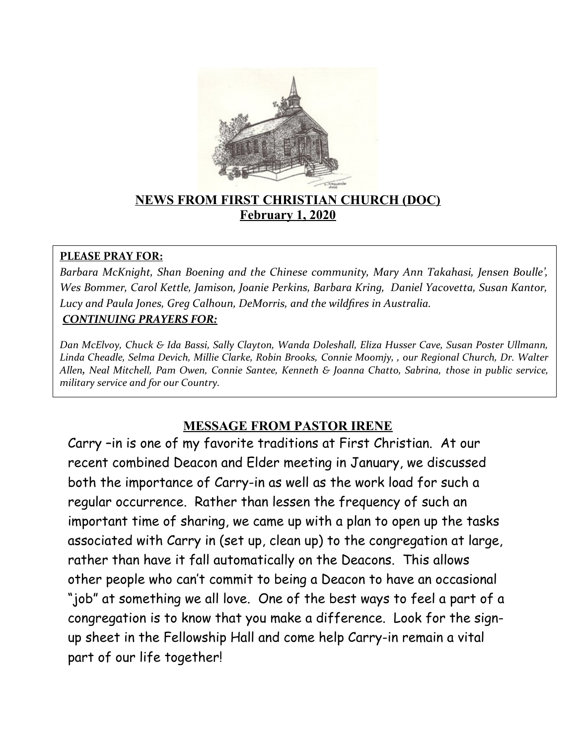

## **NEWS FROM FIRST CHRISTIAN CHURCH (DOC) February 1, 2020**

#### **PLEASE PRAY FOR:**

*Barbara McKnight, Shan Boening and the Chinese community, Mary Ann Takahasi, Jensen Boulle', Wes Bommer, Carol Kettle, Jamison, Joanie Perkins, Barbara Kring, Daniel Yacovetta, Susan Kantor, Lucy and Paula Jones, Greg Calhoun, DeMorris, and the wildfires in Australia. CONTINUING PRAYERS FOR:*

*Dan McElvoy, Chuck & Ida Bassi, Sally Clayton, Wanda Doleshall, Eliza Husser Cave, Susan Poster Ullmann, Linda Cheadle, Selma Devich, Millie Clarke, Robin Brooks, Connie Moomjy, , our Regional Church, Dr. Walter Allen, Neal Mitchell, Pam Owen, Connie Santee, Kenneth & Joanna Chatto, Sabrina, those in public service, military service and for our Country.*

# **MESSAGE FROM PASTOR IRENE**

Carry –in is one of my favorite traditions at First Christian. At our recent combined Deacon and Elder meeting in January, we discussed both the importance of Carry-in as well as the work load for such a regular occurrence. Rather than lessen the frequency of such an important time of sharing, we came up with a plan to open up the tasks associated with Carry in (set up, clean up) to the congregation at large, rather than have it fall automatically on the Deacons. This allows other people who can't commit to being a Deacon to have an occasional "job" at something we all love. One of the best ways to feel a part of a congregation is to know that you make a difference. Look for the signup sheet in the Fellowship Hall and come help Carry-in remain a vital part of our life together!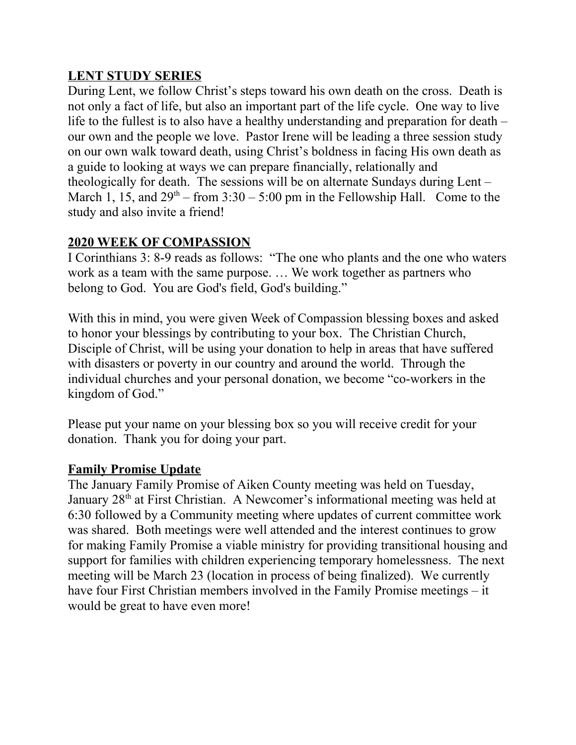## **LENT STUDY SERIES**

During Lent, we follow Christ's steps toward his own death on the cross. Death is not only a fact of life, but also an important part of the life cycle. One way to live life to the fullest is to also have a healthy understanding and preparation for death – our own and the people we love. Pastor Irene will be leading a three session study on our own walk toward death, using Christ's boldness in facing His own death as a guide to looking at ways we can prepare financially, relationally and theologically for death. The sessions will be on alternate Sundays during Lent – March 1, 15, and  $29<sup>th</sup>$  – from  $3:30 - 5:00$  pm in the Fellowship Hall. Come to the study and also invite a friend!

## **2020 WEEK OF COMPASSION**

I Corinthians 3: 8-9 reads as follows: "The one who plants and the one who waters work as a team with the same purpose. … We work together as partners who belong to God. You are God's field, God's building."

With this in mind, you were given Week of Compassion blessing boxes and asked to honor your blessings by contributing to your box. The Christian Church, Disciple of Christ, will be using your donation to help in areas that have suffered with disasters or poverty in our country and around the world. Through the individual churches and your personal donation, we become "co-workers in the kingdom of God."

Please put your name on your blessing box so you will receive credit for your donation. Thank you for doing your part.

## **Family Promise Update**

The January Family Promise of Aiken County meeting was held on Tuesday, January 28<sup>th</sup> at First Christian. A Newcomer's informational meeting was held at 6:30 followed by a Community meeting where updates of current committee work was shared. Both meetings were well attended and the interest continues to grow for making Family Promise a viable ministry for providing transitional housing and support for families with children experiencing temporary homelessness. The next meeting will be March 23 (location in process of being finalized). We currently have four First Christian members involved in the Family Promise meetings – it would be great to have even more!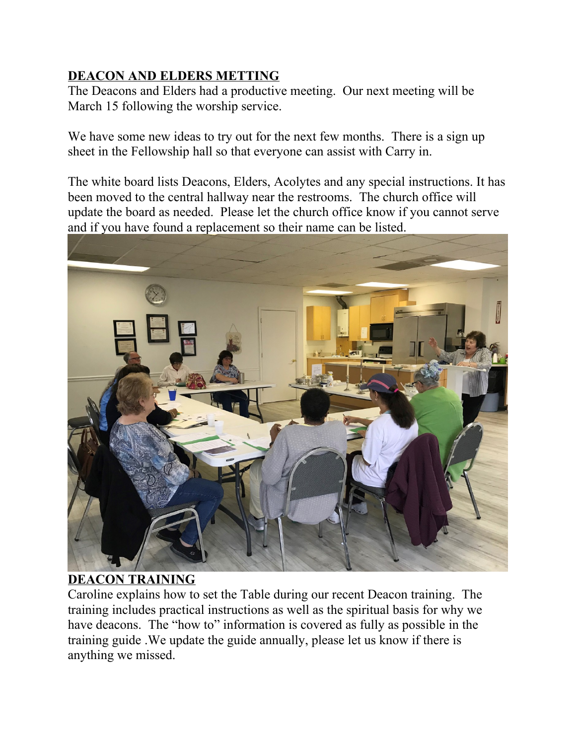# **DEACON AND ELDERS METTING**

The Deacons and Elders had a productive meeting. Our next meeting will be March 15 following the worship service.

We have some new ideas to try out for the next few months. There is a sign up sheet in the Fellowship hall so that everyone can assist with Carry in.

The white board lists Deacons, Elders, Acolytes and any special instructions. It has been moved to the central hallway near the restrooms. The church office will update the board as needed. Please let the church office know if you cannot serve and if you have found a replacement so their name can be listed.



# **DEACON TRAINING**

Caroline explains how to set the Table during our recent Deacon training. The training includes practical instructions as well as the spiritual basis for why we have deacons. The "how to" information is covered as fully as possible in the training guide .We update the guide annually, please let us know if there is anything we missed.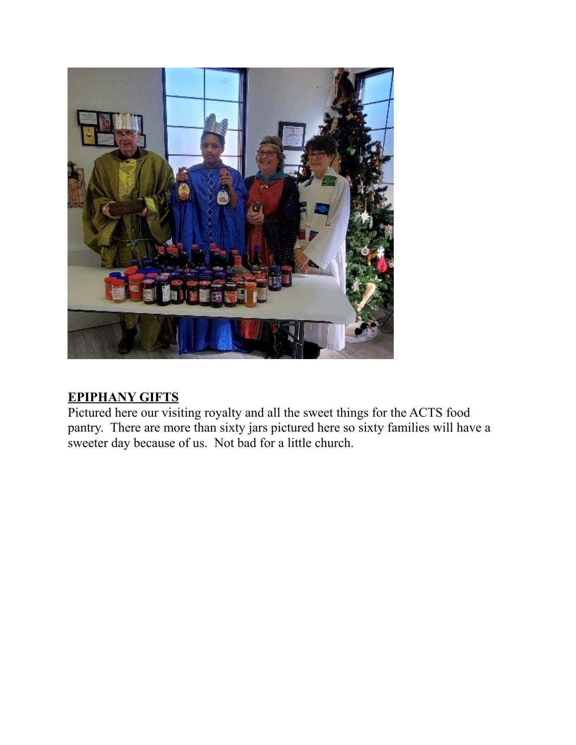

# **EPIPHANY GIFTS**

Pictured here our visiting royalty and all the sweet things for the ACTS food pantry. There are more than sixty jars pictured here so sixty families will have a sweeter day because of us. Not bad for a little church.